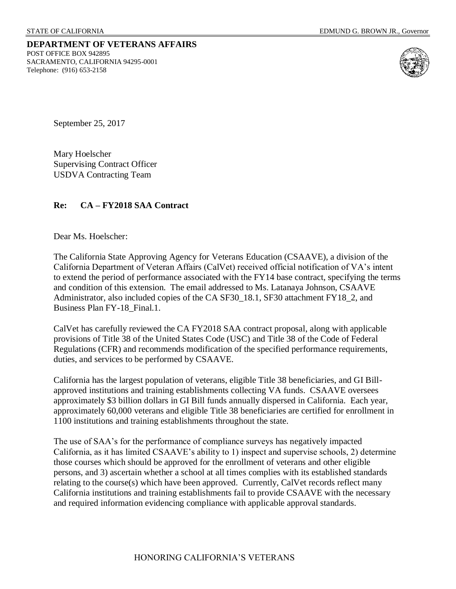#### **DEPARTMENT OF VETERANS AFFAIRS** POST OFFICE BOX 942895 SACRAMENTO, CALIFORNIA 94295-0001 Telephone: (916) 653-2158



September 25, 2017

Mary Hoelscher Supervising Contract Officer USDVA Contracting Team

### **Re: CA – FY2018 SAA Contract**

Dear Ms. Hoelscher:

The California State Approving Agency for Veterans Education (CSAAVE), a division of the California Department of Veteran Affairs (CalVet) received official notification of VA's intent to extend the period of performance associated with the FY14 base contract, specifying the terms and condition of this extension. The email addressed to Ms. Latanaya Johnson, CSAAVE Administrator, also included copies of the CA SF30\_18.1, SF30 attachment FY18\_2, and Business Plan FY-18\_Final.1.

CalVet has carefully reviewed the CA FY2018 SAA contract proposal, along with applicable provisions of Title 38 of the United States Code (USC) and Title 38 of the Code of Federal Regulations (CFR) and recommends modification of the specified performance requirements, duties, and services to be performed by CSAAVE.

California has the largest population of veterans, eligible Title 38 beneficiaries, and GI Billapproved institutions and training establishments collecting VA funds. CSAAVE oversees approximately \$3 billion dollars in GI Bill funds annually dispersed in California. Each year, approximately 60,000 veterans and eligible Title 38 beneficiaries are certified for enrollment in 1100 institutions and training establishments throughout the state.

The use of SAA's for the performance of compliance surveys has negatively impacted California, as it has limited CSAAVE's ability to 1) inspect and supervise schools, 2) determine those courses which should be approved for the enrollment of veterans and other eligible persons, and 3) ascertain whether a school at all times complies with its established standards relating to the course(s) which have been approved. Currently, CalVet records reflect many California institutions and training establishments fail to provide CSAAVE with the necessary and required information evidencing compliance with applicable approval standards.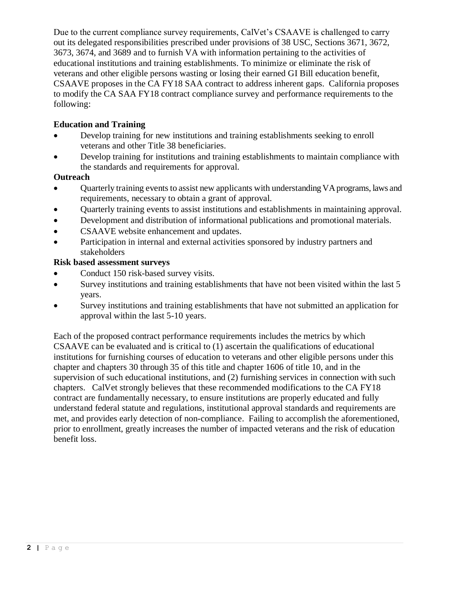Due to the current compliance survey requirements, CalVet's CSAAVE is challenged to carry out its delegated responsibilities prescribed under provisions of 38 USC, Sections 3671, 3672, 3673, 3674, and 3689 and to furnish VA with information pertaining to the activities of educational institutions and training establishments. To minimize or eliminate the risk of veterans and other eligible persons wasting or losing their earned GI Bill education benefit, CSAAVE proposes in the CA FY18 SAA contract to address inherent gaps. California proposes to modify the CA SAA FY18 contract compliance survey and performance requirements to the following:

# **Education and Training**

- Develop training for new institutions and training establishments seeking to enroll veterans and other Title 38 beneficiaries.
- Develop training for institutions and training establishments to maintain compliance with the standards and requirements for approval.

# **Outreach**

- Quarterly training events to assist new applicants with understanding VA programs, laws and requirements, necessary to obtain a grant of approval.
- Ouarterly training events to assist institutions and establishments in maintaining approval.
- Development and distribution of informational publications and promotional materials.
- CSAAVE website enhancement and updates.
- Participation in internal and external activities sponsored by industry partners and stakeholders

# **Risk based assessment surveys**

- Conduct 150 risk-based survey visits.
- Survey institutions and training establishments that have not been visited within the last 5 years.
- Survey institutions and training establishments that have not submitted an application for approval within the last 5-10 years.

Each of the proposed contract performance requirements includes the metrics by which CSAAVE can be evaluated and is critical to (1) ascertain the qualifications of educational institutions for furnishing courses of education to veterans and other eligible persons under this chapter and chapters 30 through 35 of this title and chapter 1606 of title 10, and in the supervision of such educational institutions, and (2) furnishing services in connection with such chapters. CalVet strongly believes that these recommended modifications to the CA FY18 contract are fundamentally necessary, to ensure institutions are properly educated and fully understand federal statute and regulations, institutional approval standards and requirements are met, and provides early detection of non-compliance. Failing to accomplish the aforementioned, prior to enrollment, greatly increases the number of impacted veterans and the risk of education benefit loss.